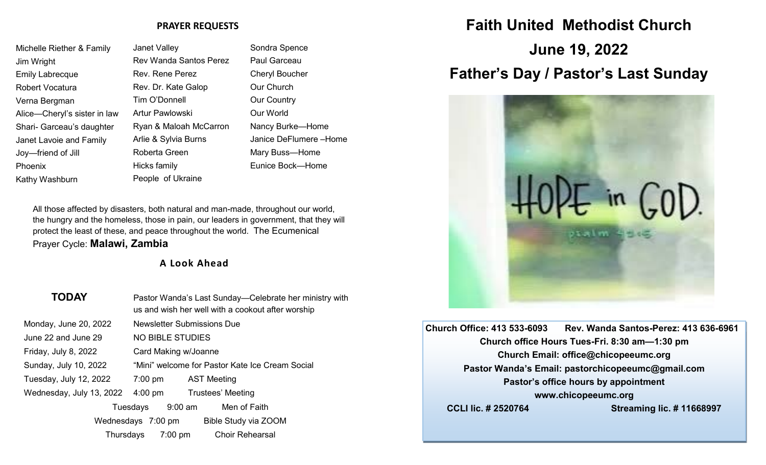#### **PRAYER REQUESTS**

| Michelle Riether & Family    | <b>Janet Valley</b>           | Sondra Spence         |
|------------------------------|-------------------------------|-----------------------|
| Jim Wright                   | <b>Rev Wanda Santos Perez</b> | Paul Garceau          |
| <b>Emily Labrecque</b>       | Rev. Rene Perez               | <b>Cheryl Boucher</b> |
| Robert Vocatura              | Rev. Dr. Kate Galop           | Our Church            |
| Verna Bergman                | Tim O'Donnell                 | <b>Our Country</b>    |
| Alice—Cheryl's sister in law | Artur Pawlowski               | Our World             |
| Shari- Garceau's daughter    | Ryan & Maloah McCarron        | Nancy Burke-Home      |
| Janet Lavoie and Family      | Arlie & Sylvia Burns          | Janice DeFlumere-Home |
| Joy—friend of Jill           | Roberta Green                 | Mary Buss-Home        |
| Phoenix                      | Hicks family                  | Eunice Bock-Home      |
| Kathy Washburn               | People of Ukraine             |                       |
|                              |                               |                       |

All those affected by disasters, both natural and man-made, throughout our world, the hungry and the homeless, those in pain, our leaders in government, that they will protect the least of these, and peace throughout the world. The Ecumenical Prayer Cycle: **Malawi, Zambia**

### **A Look Ahead**

| <b>TODAY</b>             | Pastor Wanda's Last Sunday—Celebrate her ministry with<br>us and wish her well with a cookout after worship |  |  |
|--------------------------|-------------------------------------------------------------------------------------------------------------|--|--|
| Monday, June 20, 2022    | <b>Newsletter Submissions Due</b>                                                                           |  |  |
| June 22 and June 29      | <b>NO BIBLE STUDIES</b>                                                                                     |  |  |
| Friday, July 8, 2022     | Card Making w/Joanne                                                                                        |  |  |
| Sunday, July 10, 2022    | "Mini" welcome for Pastor Kate Ice Cream Social                                                             |  |  |
| Tuesday, July 12, 2022   | 7:00 pm<br><b>AST Meeting</b>                                                                               |  |  |
| Wednesday, July 13, 2022 | $4:00 \text{ pm}$<br>Trustees' Meeting                                                                      |  |  |
|                          | Men of Faith<br>9:00 am<br>Tuesdays                                                                         |  |  |
|                          | Bible Study via ZOOM<br>Wednesdays 7:00 pm                                                                  |  |  |
| Thursdays                | <b>Choir Rehearsal</b><br>$7:00 \text{ pm}$                                                                 |  |  |

# **Faith United Methodist Church**

**June 19, 2022 Father's Day / Pastor's Last Sunday**



**Church Office: 413 533-6093 Rev. Wanda Santos-Perez: 413 636-6961 Church office Hours Tues-Fri. 8:30 am—1:30 pm Church Email: office@chicopeeumc.org Pastor Wanda's Email: pastorchicopeeumc@gmail.com Pastor's office hours by appointment www.chicopeeumc.org CCLI lic. # 2520764 Streaming lic. # 11668997**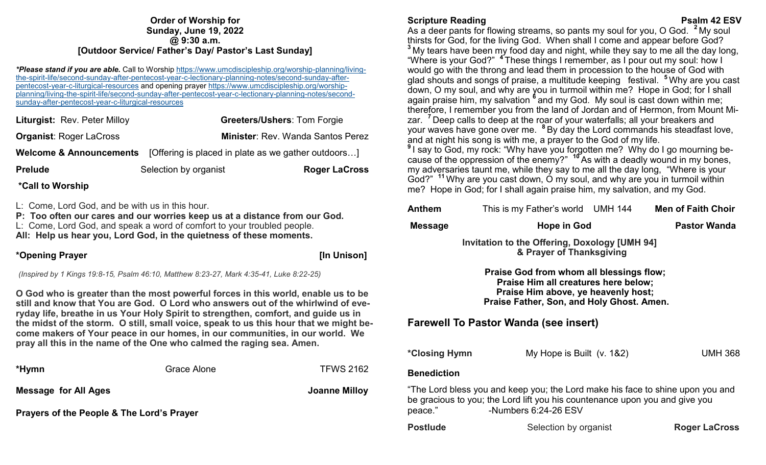#### **Order of Worship for Sunday, June 19, 2022 @ 9:30 a.m. [Outdoor Service/ Father's Day/ Pastor's Last Sunday]**

*\*Please stand if you are able.* Call to Worship [https://www.umcdiscipleship.org/worship](https://www.umcdiscipleship.org/worship-planning/living-the-spirit-life/second-sunday-after-pentecost-year-c-lectionary-planning-notes/second-sunday-after-pentecost-year-c-liturgical-resources)-planning/livingthe-spirit-life/second-sunday-after-pentecost-year-c-lectionary-planning-[notes/second](https://www.umcdiscipleship.org/worship-planning/living-the-spirit-life/second-sunday-after-pentecost-year-c-lectionary-planning-notes/second-sunday-after-pentecost-year-c-liturgical-resources)-sunday-afterpentecost-year-c-liturgical-[resources](https://www.umcdiscipleship.org/worship-planning/living-the-spirit-life/second-sunday-after-pentecost-year-c-lectionary-planning-notes/second-sunday-after-pentecost-year-c-liturgical-resources) and opening prayer [https://www.umcdiscipleship.org/worship](https://www.umcdiscipleship.org/worship-planning/living-the-spirit-life/second-sunday-after-pentecost-year-c-lectionary-planning-notes/second-sunday-after-pentecost-year-c-liturgical-resources)[planning/living](https://www.umcdiscipleship.org/worship-planning/living-the-spirit-life/second-sunday-after-pentecost-year-c-lectionary-planning-notes/second-sunday-after-pentecost-year-c-liturgical-resources)-the-spirit-life/second-sunday-after-pentecost-year-c-lectionary-planning-notes/secondsunday-after-pentecost-year-c-liturgical-[resources](https://www.umcdiscipleship.org/worship-planning/living-the-spirit-life/second-sunday-after-pentecost-year-c-lectionary-planning-notes/second-sunday-after-pentecost-year-c-liturgical-resources)

| Liturgist: Rev. Peter Milloy   | <b>Greeters/Ushers: Tom Forgie</b>                                                     |
|--------------------------------|----------------------------------------------------------------------------------------|
| <b>Organist: Roger LaCross</b> | <b>Minister: Rev. Wanda Santos Perez</b>                                               |
|                                | <b>Welcome &amp; Announcements</b> [Offering is placed in plate as we gather outdoors] |
| <b>Prelude</b>                 | Selection by organist<br><b>Roger LaCross</b>                                          |

### **\*Call to Worship**

L: Come, Lord God, and be with us in this hour.

**P: Too often our cares and our worries keep us at a distance from our God.**

L: Come, Lord God, and speak a word of comfort to your troubled people.

**All: Help us hear you, Lord God, in the quietness of these moments.**

### **\*Opening Prayer [In Unison]**

*(Inspired by 1 Kings 19:8-15, Psalm 46:10, Matthew 8:23-27, Mark 4:35-41, Luke 8:22-25)*

**O God who is greater than the most powerful forces in this world, enable us to be still and know that You are God. O Lord who answers out of the whirlwind of everyday life, breathe in us Your Holy Spirit to strengthen, comfort, and guide us in the midst of the storm. O still, small voice, speak to us this hour that we might become makers of Your peace in our homes, in our communities, in our world. We pray all this in the name of the One who calmed the raging sea. Amen.**

| *Hymn                                                | Grace Alone | <b>TFWS 2162</b> |  |  |
|------------------------------------------------------|-------------|------------------|--|--|
| Message for All Ages                                 |             | Joanne Milloy    |  |  |
| <b>Prayers of the People &amp; The Lord's Prayer</b> |             |                  |  |  |

#### **Scripture Reading Property Control Control Control Control Control Control Control Control Psalm 42 ESV**

As a deer pants for flowing streams, so pants my soul for you, O God. **<sup>2</sup>** My soul thirsts for God, for the living God. When shall I come and appear before God? **<sup>3</sup>** My tears have been my food day and night, while they say to me all the day long, "Where is your God?" **<sup>4</sup>** These things I remember, as I pour out my soul: how I would go with the throng and lead them in procession to the house of God with glad shouts and songs of praise, a multitude keeping festival. **<sup>5</sup>** Why are you cast down, O my soul, and why are you in turmoil within me? Hope in God; for I shall again praise him, my salvation <sup>6</sup> and my God. My soul is cast down within me; therefore, I remember you from the land of Jordan and of Hermon, from Mount Mizar. **<sup>7</sup>** Deep calls to deep at the roar of your waterfalls; all your breakers and your waves have gone over me. **<sup>8</sup>** By day the Lord commands his steadfast love, and at night his song is with me, a prayer to the God of my life. **9** I say to God, my rock: "Why have you forgotten me? Why do I go mourning be-

cause of the oppression of the enemy?" **<sup>10</sup>** As with a deadly wound in my bones, my adversaries taunt me, while they say to me all the day long, "Where is your God?" <sup>11</sup> Why are you cast down, O my soul, and why are you in turmoil within me? Hope in God; for I shall again praise him, my salvation, and my God.

| <b>Anthem</b>                                                                                                                                                                                    | This is my Father's world UMH 144 |  | <b>Men of Faith Choir</b> |  |  |
|--------------------------------------------------------------------------------------------------------------------------------------------------------------------------------------------------|-----------------------------------|--|---------------------------|--|--|
| <b>Message</b>                                                                                                                                                                                   | Hope in God                       |  | <b>Pastor Wanda</b>       |  |  |
| Invitation to the Offering, Doxology [UMH 94]<br>& Prayer of Thanksgiving                                                                                                                        |                                   |  |                           |  |  |
| Praise God from whom all blessings flow;<br>Praise Him all creatures here below;<br>Praise Him above, ye heavenly host;<br>Praise Father, Son, and Holy Ghost. Amen.                             |                                   |  |                           |  |  |
| <b>Farewell To Pastor Wanda (see insert)</b>                                                                                                                                                     |                                   |  |                           |  |  |
| *Closing Hymn                                                                                                                                                                                    | My Hope is Built $(v. 182)$       |  | <b>UMH 368</b>            |  |  |
| <b>Benediction</b>                                                                                                                                                                               |                                   |  |                           |  |  |
| "The Lord bless you and keep you; the Lord make his face to shine upon you and<br>be gracious to you; the Lord lift you his countenance upon you and give you<br>-Numbers 6:24-26 ESV<br>peace." |                                   |  |                           |  |  |
| <b>Postlude</b>                                                                                                                                                                                  | Selection by organist             |  | <b>Roger LaCross</b>      |  |  |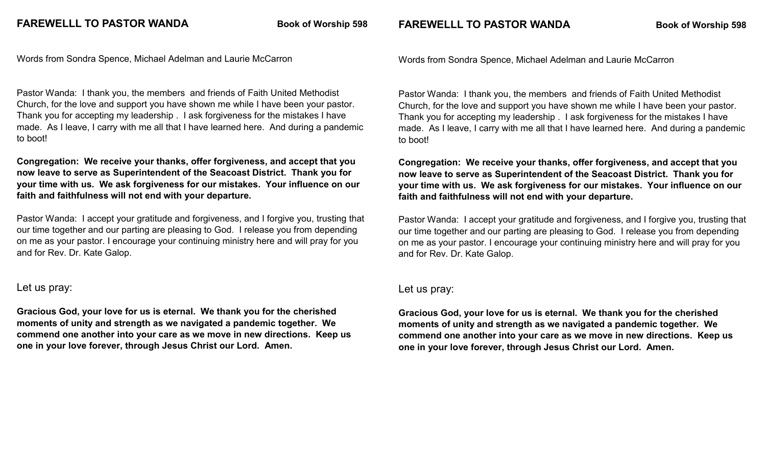**FAREWELLL TO PASTOR WANDA Book of Worship 598** 

Words from Sondra Spence, Michael Adelman and Laurie McCarron

Pastor Wanda: I thank you, the members and friends of Faith United Methodist Church, for the love and support you have shown me while I have been your pastor. Thank you for accepting my leadership . I ask forgiveness for the mistakes I have made. As I leave, I carry with me all that I have learned here. And during a pandemic to boot!

**Congregation: We receive your thanks, offer forgiveness, and accept that you now leave to serve as Superintendent of the Seacoast District. Thank you for your time with us. We ask forgiveness for our mistakes. Your influence on our faith and faithfulness will not end with your departure.** 

Pastor Wanda: I accept your gratitude and forgiveness, and I forgive you, trusting that our time together and our parting are pleasing to God. I release you from depending on me as your pastor. I encourage your continuing ministry here and will pray for you and for Rev. Dr. Kate Galop.

#### Let us pray:

**Gracious God, your love for us is eternal. We thank you for the cherished moments of unity and strength as we navigated a pandemic together. We commend one another into your care as we move in new directions. Keep us one in your love forever, through Jesus Christ our Lord. Amen.**

Words from Sondra Spence, Michael Adelman and Laurie McCarron

Pastor Wanda: I thank you, the members and friends of Faith United Methodist Church, for the love and support you have shown me while I have been your pastor. Thank you for accepting my leadership . I ask forgiveness for the mistakes I have made. As I leave, I carry with me all that I have learned here. And during a pandemic to boot!

**Congregation: We receive your thanks, offer forgiveness, and accept that you now leave to serve as Superintendent of the Seacoast District. Thank you for your time with us. We ask forgiveness for our mistakes. Your influence on our faith and faithfulness will not end with your departure.** 

Pastor Wanda: I accept your gratitude and forgiveness, and I forgive you, trusting that our time together and our parting are pleasing to God. I release you from depending on me as your pastor. I encourage your continuing ministry here and will pray for you and for Rev. Dr. Kate Galop.

#### Let us pray:

**Gracious God, your love for us is eternal. We thank you for the cherished moments of unity and strength as we navigated a pandemic together. We commend one another into your care as we move in new directions. Keep us one in your love forever, through Jesus Christ our Lord. Amen.**